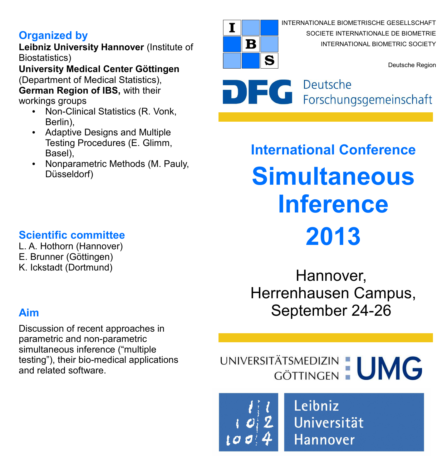# **Organized by**

**Leibniz University Hannover** (Institute of Biostatistics)

**University Medical Center Göttingen** (Department of Medical Statistics), **German Region of IBS,** with their workings groups

- Non-Clinical Statistics (R. Vonk, Berlin),
- Adaptive Designs and Multiple Testing Procedures (E. Glimm, Basel),
- Nonparametric Methods (M. Pauly, Düsseldorf)



INTERNATIONALE BIOMETRISCHE GESELLSCHAFT SOCIETE INTERNATIONALE DE BIOMETRIE INTERNATIONAL BIOMETRIC SOCIETY

Deutsche Region

DEC Deutsche<br>
Forschungsgemeinschaft

**International Conference Simultaneous Inference 2013**

Hannover, Herrenhausen Campus, September 24-26

UNIVERSITÄTSMEDIZIN : UMG

Leibniz Universität **Hannover** 

# **Scientific committee**

L. A. Hothorn (Hannover) E. Brunner (Göttingen) K. Ickstadt (Dortmund)

# **Aim**

Discussion of recent approaches in parametric and non-parametric simultaneous inference ("multiple testing"), their bio-medical applications and related software.